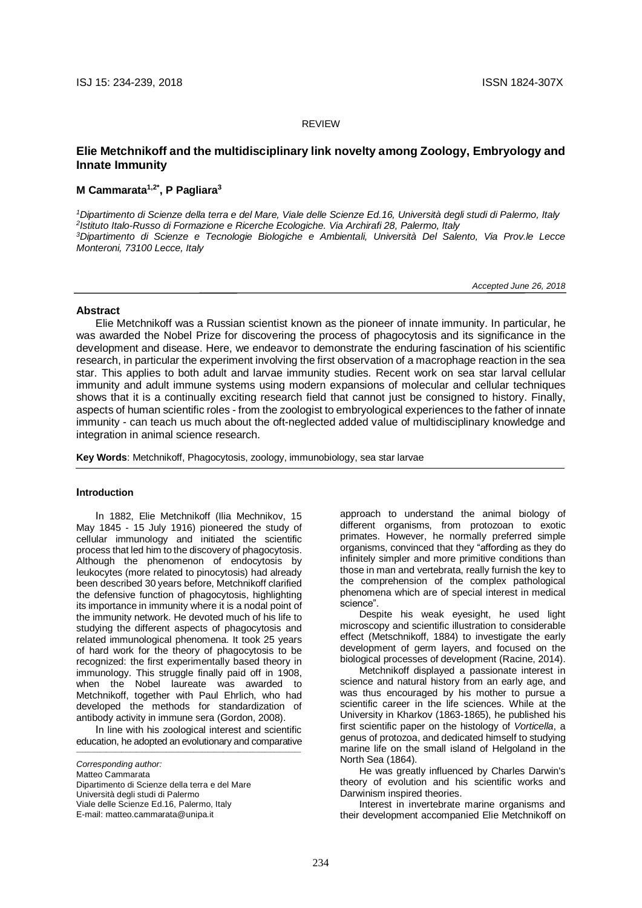#### REVIEW

# **Elie Metchnikoff and the multidisciplinary link novelty among Zoology, Embryology and Innate Immunity**

# **M Cammarata1,2\* , P Pagliara<sup>3</sup>**

*Dipartimento di Scienze della terra e del Mare, Viale delle Scienze Ed.16, Università degli studi di Palermo, Italy Istituto Italo-Russo di Formazione e Ricerche Ecologiche. Via Archirafi 28, Palermo, Italy Dipartimento di Scienze e Tecnologie Biologiche e Ambientali, Università Del Salento, Via Prov.le Lecce Monteroni, 73100 Lecce, Italy*

 *Accepted June 26, 2018*

#### **Abstract**

Elie Metchnikoff was a Russian scientist known as the pioneer of innate immunity. In particular, he was awarded the Nobel Prize for discovering the process of phagocytosis and its significance in the development and disease. Here, we endeavor to demonstrate the enduring fascination of his scientific research, in particular the experiment involving the first observation of a macrophage reaction in the sea star. This applies to both adult and larvae immunity studies. Recent work on sea star larval cellular immunity and adult immune systems using modern expansions of molecular and cellular techniques shows that it is a continually exciting research field that cannot just be consigned to history. Finally, aspects of human scientific roles - from the zoologist to embryological experiences to the father of innate immunity - can teach us much about the oft-neglected added value of multidisciplinary knowledge and integration in animal science research.

**Key Words**: Metchnikoff, Phagocytosis, zoology, immunobiology, sea star larvae

#### **Introduction**

In 1882, Elie Metchnikoff (Ilia Mechnikov, 15 May 1845 - 15 July 1916) pioneered the study of cellular immunology and initiated the scientific process that led him to the discovery of phagocytosis. Although the phenomenon of endocytosis by leukocytes (more related to pinocytosis) had already been described 30 years before, Metchnikoff clarified the defensive function of phagocytosis, highlighting its importance in immunity where it is a nodal point of the immunity network. He devoted much of his life to studying the different aspects of phagocytosis and related immunological phenomena. It took 25 years of hard work for the theory of phagocytosis to be recognized: the first experimentally based theory in immunology. This struggle finally paid off in 1908, when the Nobel laureate was awarded to Metchnikoff, together with Paul Ehrlich, who had developed the methods for standardization of antibody activity in immune sera (Gordon, 2008).

In line with his zoological interest and scientific education, he adopted an evolutionary and comparative \_\_\_\_\_\_\_\_\_\_\_\_\_\_\_\_\_\_\_\_\_\_\_\_\_\_\_\_\_\_\_\_\_\_\_\_\_\_\_\_\_\_\_\_\_\_\_\_\_\_\_\_\_\_\_\_\_\_\_\_\_\_\_\_\_\_\_\_\_\_\_\_\_\_\_

*Corresponding author:*

Matteo Cammarata

Dipartimento di Scienze della terra e del Mare Università degli studi di Palermo Viale delle Scienze Ed.16, Palermo, Italy

E-mail: [matteo.cammarata@unipa.it](mailto:matteo.cammarata@unipa.it)

approach to understand the animal biology of different organisms, from protozoan to exotic primates. However, he normally preferred simple organisms, convinced that they "affording as they do infinitely simpler and more primitive conditions than those in man and vertebrata, really furnish the key to the comprehension of the complex pathological phenomena which are of special interest in medical science".

Despite his weak eyesight, he used light microscopy and scientific illustration to considerable effect (Metschnikoff, 1884) to investigate the early development of germ layers, and focused on the biological processes of development (Racine, 2014).

Metchnikoff displayed a passionate interest in science and natural history from an early age, and was thus encouraged by his mother to pursue a scientific career in the life sciences. While at the University in Kharkov (1863-1865), he published his first scientific paper on the histology of *Vorticella*, a genus of protozoa, and dedicated himself to studying marine life on the small island of Helgoland in the North Sea (1864).

He was greatly influenced by Charles Darwin's theory of evolution and his scientific works and Darwinism inspired theories.

Interest in invertebrate marine organisms and their development accompanied Elie Metchnikoff on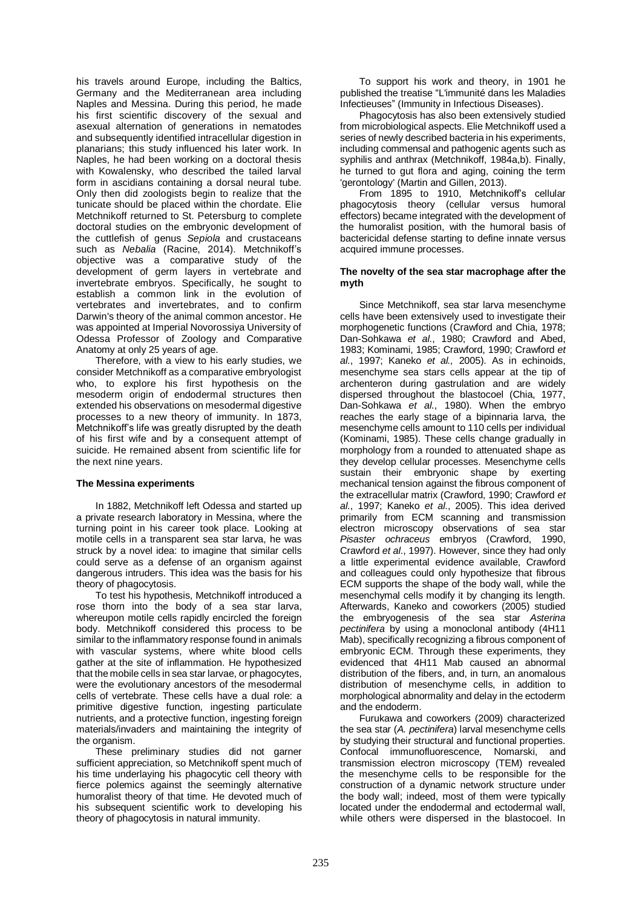his travels around Europe, including the Baltics, Germany and the Mediterranean area including Naples and Messina. During this period, he made his first scientific discovery of the sexual and asexual alternation of generations in nematodes and subsequently identified intracellular digestion in planarians; this study influenced his later work. In Naples, he had been working on a doctoral thesis with Kowalensky, who described the tailed larval form in ascidians containing a dorsal neural tube. Only then did zoologists begin to realize that the tunicate should be placed within the chordate. Elie Metchnikoff returned to St. Petersburg to complete doctoral studies on the embryonic development of the cuttlefish of genus *Sepiola* and crustaceans such as *Nebalia* (Racine, 2014). Metchnikoff's objective was a comparative study of the development of germ layers in vertebrate and invertebrate embryos. Specifically, he sought to establish a common link in the evolution of vertebrates and invertebrates, and to confirm Darwin's theory of the animal common ancestor. He was appointed at Imperial Novorossiya University of Odessa Professor of Zoology and Comparative Anatomy at only 25 years of age.

Therefore, with a view to his early studies, we consider Metchnikoff as a comparative embryologist who, to explore his first hypothesis on the mesoderm origin of endodermal structures then extended his observations on mesodermal digestive processes to a new theory of immunity. In 1873, Metchnikoff's life was greatly disrupted by the death of his first wife and by a consequent attempt of suicide. He remained absent from scientific life for the next nine years.

### **The Messina experiments**

In 1882, Metchnikoff left Odessa and started up a private research laboratory in Messina, where the turning point in his career took place. Looking at motile cells in a transparent sea star larva, he was struck by a novel idea: to imagine that similar cells could serve as a defense of an organism against dangerous intruders. This idea was the basis for his theory of phagocytosis.

To test his hypothesis, Metchnikoff introduced a rose thorn into the body of a sea star larva, whereupon motile cells rapidly encircled the foreign body. Metchnikoff considered this process to be similar to the inflammatory response found in animals with vascular systems, where white blood cells gather at the site of inflammation. He hypothesized that the mobile cells in sea star larvae, or phagocytes, were the evolutionary ancestors of the mesodermal cells of vertebrate. These cells have a dual role: a primitive digestive function, ingesting particulate nutrients, and a protective function, ingesting foreign materials/invaders and maintaining the integrity of the organism.

These preliminary studies did not garner sufficient appreciation, so Metchnikoff spent much of his time underlaying his phagocytic cell theory with fierce polemics against the seemingly alternative humoralist theory of that time. He devoted much of his subsequent scientific work to developing his theory of phagocytosis in natural immunity.

To support his work and theory, in 1901 he published the treatise "L'immunité dans les Maladies Infectieuses" (Immunity in Infectious Diseases).

Phagocytosis has also been extensively studied from microbiological aspects. Elie Metchnikoff used a series of newly described bacteria in his experiments, including commensal and pathogenic agents such as syphilis and anthrax (Metchnikoff, 1984a,b). Finally, he turned to gut flora and aging, coining the term 'gerontology' (Martin and Gillen, 2013).

From 1895 to 1910, Metchnikoff's cellular phagocytosis theory (cellular versus humoral effectors) became integrated with the development of the humoralist position, with the humoral basis of bactericidal defense starting to define innate versus acquired immune processes.

# **The novelty of the sea star macrophage after the myth**

Since Metchnikoff, sea star larva mesenchyme cells have been extensively used to investigate their morphogenetic functions (Crawford and Chia, 1978; Dan-Sohkawa *et al*., 1980; Crawford and Abed, 1983; Kominami, 1985; Crawford, 1990; Crawford *et al*., 1997; Kaneko *et al.,* 2005). As in echinoids, mesenchyme sea stars cells appear at the tip of archenteron during gastrulation and are widely dispersed throughout the blastocoel (Chia, 1977, Dan-Sohkawa *et al*., 1980). When the embryo reaches the early stage of a bipinnaria larva, the mesenchyme cells amount to 110 cells per individual (Kominami, 1985). These cells change gradually in morphology from a rounded to attenuated shape as they develop cellular processes. Mesenchyme cells sustain their embryonic shape by exerting mechanical tension against the fibrous component of the extracellular matrix (Crawford, 1990; Crawford *et al*., 1997; Kaneko *et al*., 2005). This idea derived primarily from ECM scanning and transmission electron microscopy observations of sea star *Pisaster ochraceus* embryos (Crawford, 1990, Crawford *et al*., 1997). However, since they had only a little experimental evidence available, Crawford and colleagues could only hypothesize that fibrous ECM supports the shape of the body wall, while the mesenchymal cells modify it by changing its length. Afterwards, Kaneko and coworkers (2005) studied the embryogenesis of the sea star *Asterina pectinifera* by using a monoclonal antibody (4H11 Mab), specifically recognizing a fibrous component of embryonic ECM. Through these experiments, they evidenced that 4H11 Mab caused an abnormal distribution of the fibers, and, in turn, an anomalous distribution of mesenchyme cells, in addition to morphological abnormality and delay in the ectoderm and the endoderm.

Furukawa and coworkers (2009) characterized the sea star (*A. pectinifera*) larval mesenchyme cells by studying their structural and functional properties. Confocal immunofluorescence, Nomarski, and transmission electron microscopy (TEM) revealed the mesenchyme cells to be responsible for the construction of a dynamic network structure under the body wall; indeed, most of them were typically located under the endodermal and ectodermal wall, while others were dispersed in the blastocoel. In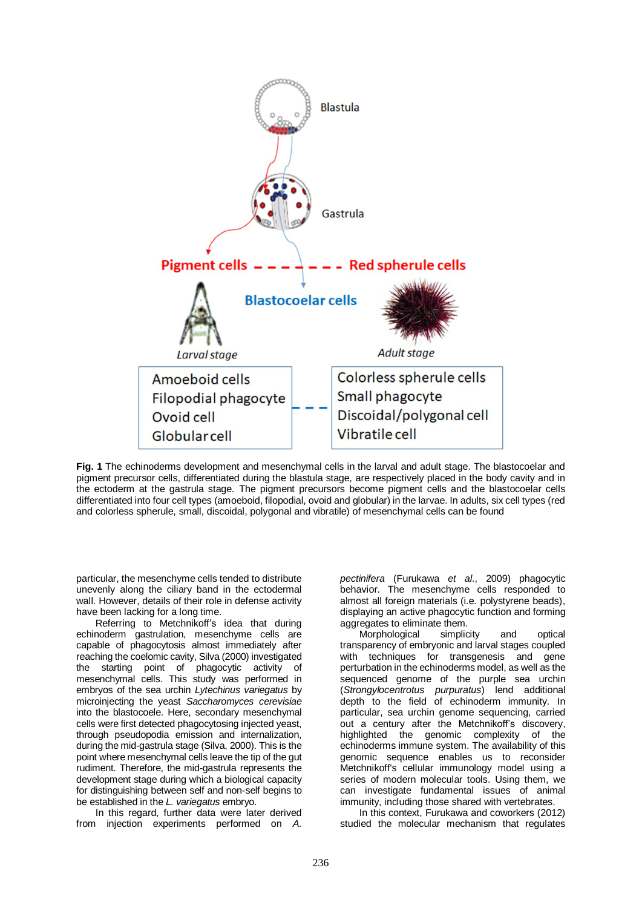

**Fig. 1** The echinoderms development and mesenchymal cells in the larval and adult stage. The blastocoelar and pigment precursor cells, differentiated during the blastula stage, are respectively placed in the body cavity and in the ectoderm at the gastrula stage. The pigment precursors become pigment cells and the blastocoelar cells differentiated into four cell types (amoeboid, filopodial, ovoid and globular) in the larvae. In adults, six cell types (red and colorless spherule, small, discoidal, polygonal and vibratile) of mesenchymal cells can be found

particular, the mesenchyme cells tended to distribute unevenly along the ciliary band in the ectodermal wall. However, details of their role in defense activity have been lacking for a long time.

Referring to Metchnikoff's idea that during echinoderm gastrulation, mesenchyme cells are capable of phagocytosis almost immediately after reaching the coelomic cavity, Silva (2000) investigated the starting point of phagocytic activity of mesenchymal cells. This study was performed in embryos of the sea urchin *Lytechinus variegatus* by microinjecting the yeast *Saccharomyces cerevisiae* into the blastocoele. Here, secondary mesenchymal cells were first detected phagocytosing injected yeast, through pseudopodia emission and internalization, during the mid-gastrula stage (Silva, 2000). This is the point where mesenchymal cells leave the tip of the gut rudiment. Therefore, the mid-gastrula represents the development stage during which a biological capacity for distinguishing between self and non-self begins to be established in the *L. variegatus* embryo.

In this regard, further data were later derived from injection experiments performed on *A.*  *pectinifera* (Furukawa *et al*., 2009) phagocytic behavior. The mesenchyme cells responded to almost all foreign materials (i.e. polystyrene beads), displaying an active phagocytic function and forming aggregates to eliminate them.

Morphological simplicity and optical transparency of embryonic and larval stages coupled with techniques for transgenesis and gene perturbation in the echinoderms model, as well as the sequenced genome of the purple sea urchin (*Strongylocentrotus purpuratus*) lend additional depth to the field of echinoderm immunity. In particular, sea urchin genome sequencing, carried out a century after the Metchnikoff's discovery, highlighted the genomic complexity of the echinoderms immune system. The availability of this genomic sequence enables us to reconsider Metchnikoff's cellular immunology model using a series of modern molecular tools. Using them, we can investigate fundamental issues of animal immunity, including those shared with vertebrates.

In this context, Furukawa and coworkers (2012) studied the molecular mechanism that regulates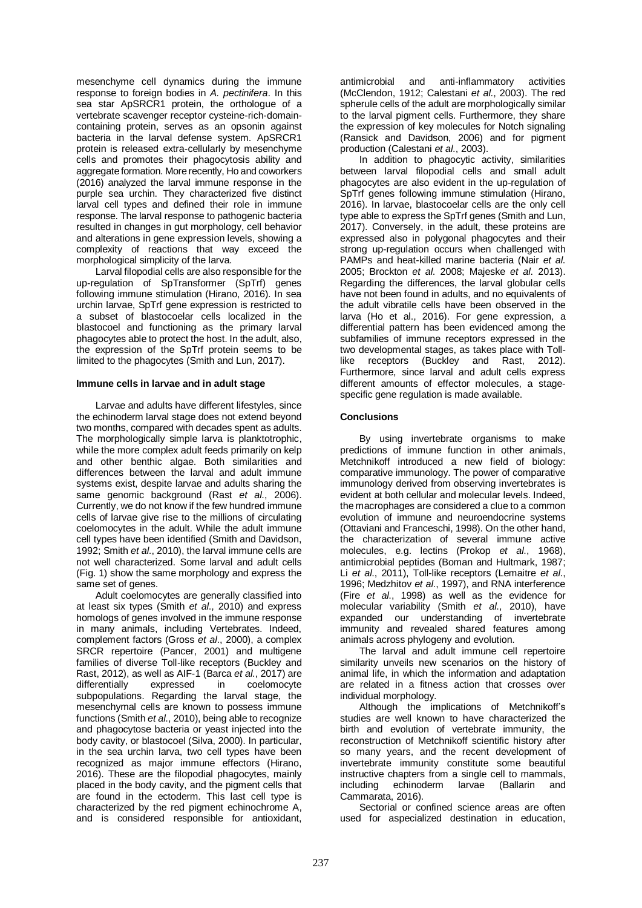mesenchyme cell dynamics during the immune response to foreign bodies in *A. pectinifera*. In this sea star ApSRCR1 protein, the orthologue of a vertebrate scavenger receptor cysteine-rich-domaincontaining protein, serves as an opsonin against bacteria in the larval defense system. ApSRCR1 protein is released extra-cellularly by mesenchyme cells and promotes their phagocytosis ability and aggregate formation. More recently, Ho and coworkers (2016) analyzed the larval immune response in the purple sea urchin. They characterized five distinct larval cell types and defined their role in immune response. The larval response to pathogenic bacteria resulted in changes in gut morphology, cell behavior and alterations in gene expression levels, showing a complexity of reactions that way exceed the morphological simplicity of the larva.

Larval filopodial cells are also responsible for the up-regulation of SpTransformer (SpTrf) genes following immune stimulation (Hirano, 2016). In sea urchin larvae, SpTrf gene expression is restricted to a subset of blastocoelar cells localized in the blastocoel and functioning as the primary larval phagocytes able to protect the host. In the adult, also, the expression of the SpTrf protein seems to be limited to the phagocytes (Smith and Lun, 2017).

### **Immune cells in larvae and in adult stage**

Larvae and adults have different lifestyles, since the echinoderm larval stage does not extend beyond two months, compared with decades spent as adults. The morphologically simple larva is planktotrophic, while the more complex adult feeds primarily on kelp and other benthic algae. Both similarities and differences between the larval and adult immune systems exist, despite larvae and adults sharing the same genomic background (Rast *et al*., 2006). Currently, we do not know if the few hundred immune cells of larvae give rise to the millions of circulating coelomocytes in the adult. While the adult immune cell types have been identified (Smith and Davidson, 1992; Smith *et al*., 2010), the larval immune cells are not well characterized. Some larval and adult cells (Fig. 1) show the same morphology and express the same set of genes.

Adult coelomocytes are generally classified into at least six types (Smith *et al*., 2010) and express homologs of genes involved in the immune response in many animals, including Vertebrates. Indeed, complement factors (Gross *et al*., 2000), a complex SRCR repertoire (Pancer, 2001) and multigene families of diverse Toll-like receptors (Buckley and Rast, 2012), as well as AIF-1 (Barca *et al*., 2017) are differentially expressed in coelomocyte subpopulations. Regarding the larval stage, the mesenchymal cells are known to possess immune functions (Smith *et al*., 2010), being able to recognize and phagocytose bacteria or yeast injected into the body cavity, or blastocoel (Silva, 2000). In particular, in the sea urchin larva, two cell types have been recognized as major immune effectors (Hirano, 2016). These are the filopodial phagocytes, mainly placed in the body cavity, and the pigment cells that are found in the ectoderm. This last cell type is characterized by the red pigment echinochrome A, and is considered responsible for antioxidant, antimicrobial and anti-inflammatory activities (McClendon, 1912; Calestani *et al*., 2003). The red spherule cells of the adult are morphologically similar to the larval pigment cells. Furthermore, they share the expression of key molecules for Notch signaling (Ransick and Davidson, 2006) and for pigment production (Calestani *et al*., 2003).

In addition to phagocytic activity, similarities between larval filopodial cells and small adult phagocytes are also evident in the up-regulation of SpTrf genes following immune stimulation (Hirano, 2016). In larvae, blastocoelar cells are the only cell type able to express the SpTrf genes (Smith and Lun, 2017). Conversely, in the adult, these proteins are expressed also in polygonal phagocytes and their strong up-regulation occurs when challenged with PAMPs and heat-killed marine bacteria (Nair *et al*. 2005; Brockton *et al*. 2008; Majeske *et al*. 2013). Regarding the differences, the larval globular cells have not been found in adults, and no equivalents of the adult vibratile cells have been observed in the larva (Ho et al., 2016). For gene expression, a differential pattern has been evidenced among the subfamilies of immune receptors expressed in the two developmental stages, as takes place with Tolllike receptors (Buckley and Rast, 2012). Furthermore, since larval and adult cells express different amounts of effector molecules, a stagespecific gene regulation is made available.

### **Conclusions**

By using invertebrate organisms to make predictions of immune function in other animals, Metchnikoff introduced a new field of biology: comparative immunology. The power of comparative immunology derived from observing invertebrates is evident at both cellular and molecular levels. Indeed, the macrophages are considered a clue to a common evolution of immune and neuroendocrine systems (Ottaviani and Franceschi, 1998). On the other hand, the characterization of several immune active molecules, e.g. lectins (Prokop *et al*., 1968), antimicrobial peptides (Boman and Hultmark, 1987; Li *et al*., 2011), Toll-like receptors (Lemaitre *et al*., 1996; Medzhitov *et al*., 1997), and RNA interference (Fire *et al*., 1998) as well as the evidence for molecular variability (Smith *et al*., 2010), have expanded our understanding of invertebrate immunity and revealed shared features among animals across phylogeny and evolution.

The larval and adult immune cell repertoire similarity unveils new scenarios on the history of animal life, in which the information and adaptation are related in a fitness action that crosses over individual morphology.

Although the implications of Metchnikoff's studies are well known to have characterized the birth and evolution of vertebrate immunity, the reconstruction of Metchnikoff scientific history after so many years, and the recent development of invertebrate immunity constitute some beautiful instructive chapters from a single cell to mammals, including echinoderm larvae (Ballarin and Cammarata, 2016).

Sectorial or confined science areas are often used for aspecialized destination in education,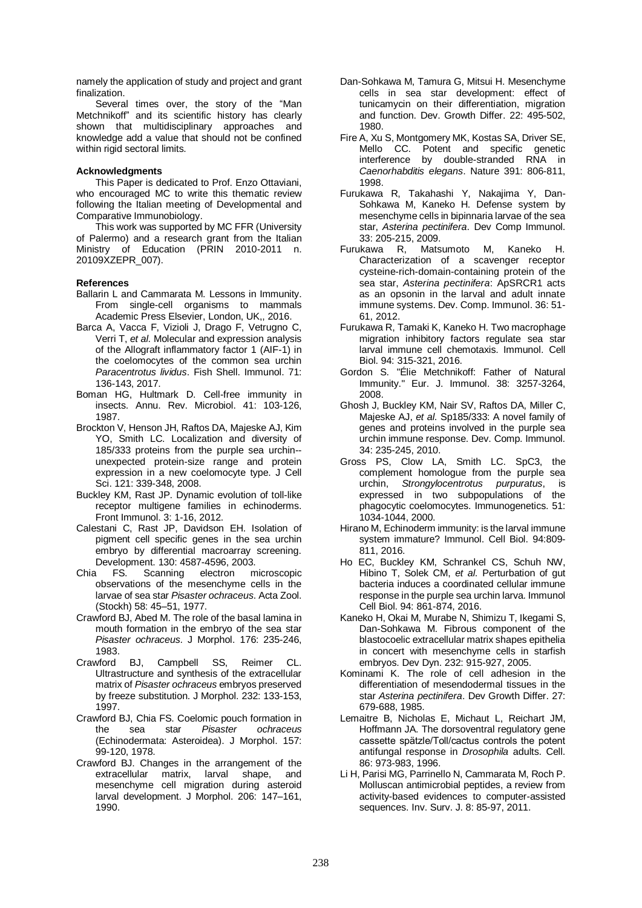namely the application of study and project and grant finalization.

Several times over, the story of the "Man Metchnikoff" and its scientific history has clearly shown that multidisciplinary approaches and knowledge add a value that should not be confined within rigid sectoral limits.

# **Acknowledgments**

This Paper is dedicated to Prof. Enzo Ottaviani, who encouraged MC to write this thematic review following the Italian meeting of Developmental and Comparative Immunobiology.

This work was supported by MC FFR (University of Palermo) and a research grant from the Italian Ministry of Education (PRIN 2010-2011 n. 20109XZEPR\_007).

# **References**

- Ballarin L and Cammarata M. Lessons in Immunity. From single-cell organisms to mammals Academic Press Elsevier, London, UK,, 2016.
- Barca A, Vacca F, Vizioli J, Drago F, Vetrugno C, Verri T, *et al*. Molecular and expression analysis of the Allograft inflammatory factor 1 (AIF-1) in the coelomocytes of the common sea urchin *Paracentrotus lividus*. Fish Shell. Immunol. 71: 136-143, 2017.
- Boman HG, Hultmark D. Cell-free immunity in insects. Annu. Rev. Microbiol. 41: 103-126, 1987.
- Brockton V, Henson JH, Raftos DA, Majeske AJ, Kim YO, Smith LC. Localization and diversity of 185/333 proteins from the purple sea urchin- unexpected protein-size range and protein expression in a new coelomocyte type. J Cell Sci. 121: 339-348, 2008.
- Buckley KM, Rast JP. Dynamic evolution of toll-like receptor multigene families in echinoderms. Front Immunol. 3: 1-16, 2012.
- Calestani C, Rast JP, Davidson EH. Isolation of pigment cell specific genes in the sea urchin embryo by differential macroarray screening. Development. 130: 4587-4596, 2003.
- Chia FS. Scanning electron microscopic observations of the mesenchyme cells in the larvae of sea star *Pisaster ochraceus*. Acta Zool. (Stockh) 58: 45–51, 1977.
- Crawford BJ, Abed M. The role of the basal lamina in mouth formation in the embryo of the sea star *Pisaster ochraceus*. J Morphol. 176: 235-246, 1983.
- Crawford BJ, Campbell SS, Reimer CL. Ultrastructure and synthesis of the extracellular matrix of *Pisaster ochraceus* embryos preserved by freeze substitution. J Morphol. 232: 133-153, 1997.
- Crawford BJ, Chia FS. Coelomic pouch formation in the sea star *Pisaster ochraceus* (Echinodermata: Asteroidea). J Morphol. 157: 99-120, 1978.
- Crawford BJ. Changes in the arrangement of the extracellular matrix, larval shape, and mesenchyme cell migration during asteroid larval development. J Morphol. 206: 147–161, 1990.
- Dan-Sohkawa M, Tamura G, Mitsui H. Mesenchyme cells in sea star development: effect of tunicamycin on their differentiation, migration and function. Dev. Growth Differ. 22: 495-502, 1980.
- Fire A, Xu S, Montgomery MK, Kostas SA, Driver SE, Mello CC. Potent and specific genetic interference by double-stranded RNA in *Caenorhabditis elegans*. Nature 391: 806-811, 1998.
- Furukawa R, Takahashi Y, Nakajima Y, Dan-Sohkawa M, Kaneko H. Defense system by mesenchyme cells in bipinnaria larvae of the sea star, *Asterina pectinifera*. Dev Comp Immunol. 33: 205-215, 2009.
- Furukawa R, Matsumoto M, Kaneko H. Characterization of a scavenger receptor cysteine-rich-domain-containing protein of the sea star, *Asterina pectinifera*: ApSRCR1 acts as an opsonin in the larval and adult innate immune systems. Dev. Comp. Immunol. 36: 51- 61, 2012.
- Furukawa R, Tamaki K, Kaneko H. Two macrophage migration inhibitory factors regulate sea star larval immune cell chemotaxis. Immunol. Cell Biol. 94: 315-321, 2016.
- Gordon S. "Élie Metchnikoff: Father of Natural Immunity." Eur. J. Immunol. 38: 3257-3264, 2008.
- Ghosh J, Buckley KM, Nair SV, Raftos DA, Miller C, Majeske AJ, *et al*. Sp185/333: A novel family of genes and proteins involved in the purple sea urchin immune response. Dev. Comp. Immunol. 34: 235-245, 2010.
- Gross PS, Clow LA, Smith LC. SpC3, the complement homologue from the purple sea urchin, *Strongylocentrotus purpuratus*, is expressed in two subpopulations of the phagocytic coelomocytes. Immunogenetics. 51: 1034-1044, 2000.
- Hirano M, Echinoderm immunity: is the larval immune system immature? Immunol. Cell Biol. 94:809- 811, 2016.
- Ho EC, Buckley KM, Schrankel CS, Schuh NW, Hibino T, Solek CM, *et al*. Perturbation of gut bacteria induces a coordinated cellular immune response in the purple sea urchin larva. Immunol Cell Biol. 94: 861-874, 2016.
- Kaneko H, Okai M, Murabe N, Shimizu T, Ikegami S, Dan-Sohkawa M. Fibrous component of the blastocoelic extracellular matrix shapes epithelia in concert with mesenchyme cells in starfish embryos. Dev Dyn. 232: 915-927, 2005.
- Kominami K. The role of cell adhesion in the differentiation of mesendodermal tissues in the star *Asterina pectinifera*. Dev Growth Differ. 27: 679-688, 1985.
- Lemaitre B, Nicholas E, Michaut L, Reichart JM, Hoffmann JA. The dorsoventral regulatory gene cassette spӓtzle/Toll/cactus controls the potent antifungal response in *Drosophila* adults. Cell. 86: 973-983, 1996.
- Li H, Parisi MG, Parrinello N, Cammarata M, Roch P. Molluscan antimicrobial peptides, a review from activity-based evidences to computer-assisted sequences. Inv. Surv. J. 8: 85-97, 2011.